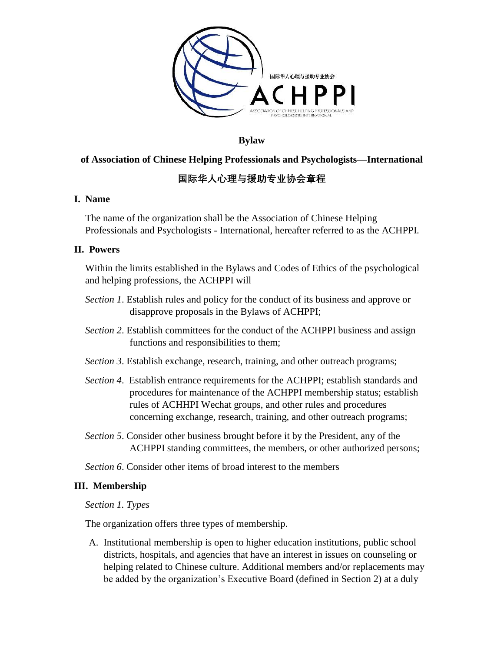

**Bylaw** 

## **of Association of Chinese Helping Professionals and Psychologists—International**

# **国际华人心理与援助专业协会章程**

## **I. Name**

The name of the organization shall be the Association of Chinese Helping Professionals and Psychologists - International, hereafter referred to as the ACHPPI.

## **II. Powers**

Within the limits established in the Bylaws and Codes of Ethics of the psychological and helping professions, the ACHPPI will

- *Section 1*. Establish rules and policy for the conduct of its business and approve or disapprove proposals in the Bylaws of ACHPPI;
- *Section 2*. Establish committees for the conduct of the ACHPPI business and assign functions and responsibilities to them;
- *Section 3*. Establish exchange, research, training, and other outreach programs;
- *Section 4*. Establish entrance requirements for the ACHPPI; establish standards and procedures for maintenance of the ACHPPI membership status; establish rules of ACHHPI Wechat groups, and other rules and procedures concerning exchange, research, training, and other outreach programs;
- *Section 5*. Consider other business brought before it by the President, any of the ACHPPI standing committees, the members, or other authorized persons;

*Section 6*. Consider other items of broad interest to the members

## **III. Membership**

### *Section 1. Types*

The organization offers three types of membership.

A. Institutional membership is open to higher education institutions, public school districts, hospitals, and agencies that have an interest in issues on counseling or helping related to Chinese culture. Additional members and/or replacements may be added by the organization's Executive Board (defined in Section 2) at a duly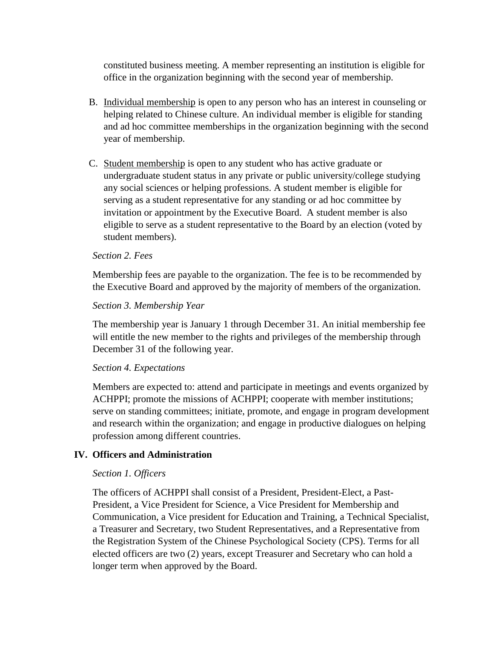constituted business meeting. A member representing an institution is eligible for office in the organization beginning with the second year of membership.

- B. Individual membership is open to any person who has an interest in counseling or helping related to Chinese culture. An individual member is eligible for standing and ad hoc committee memberships in the organization beginning with the second year of membership.
- C. Student membership is open to any student who has active graduate or undergraduate student status in any private or public university/college studying any social sciences or helping professions. A student member is eligible for serving as a student representative for any standing or ad hoc committee by invitation or appointment by the Executive Board. A student member is also eligible to serve as a student representative to the Board by an election (voted by student members).

#### *Section 2. Fees*

Membership fees are payable to the organization. The fee is to be recommended by the Executive Board and approved by the majority of members of the organization.

#### *Section 3. Membership Year*

The membership year is January 1 through December 31. An initial membership fee will entitle the new member to the rights and privileges of the membership through December 31 of the following year.

#### *Section 4. Expectations*

Members are expected to: attend and participate in meetings and events organized by ACHPPI; promote the missions of ACHPPI; cooperate with member institutions; serve on standing committees; initiate, promote, and engage in program development and research within the organization; and engage in productive dialogues on helping profession among different countries.

### **IV. Officers and Administration**

#### *Section 1. Officers*

The officers of ACHPPI shall consist of a President, President-Elect, a Past-President, a Vice President for Science, a Vice President for Membership and Communication, a Vice president for Education and Training, a Technical Specialist, a Treasurer and Secretary, two Student Representatives, and a Representative from the Registration System of the Chinese Psychological Society (CPS). Terms for all elected officers are two (2) years, except Treasurer and Secretary who can hold a longer term when approved by the Board.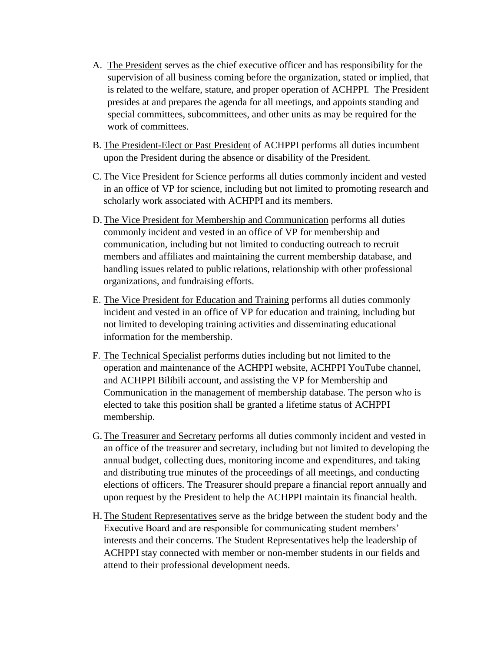- A. The President serves as the chief executive officer and has responsibility for the supervision of all business coming before the organization, stated or implied, that is related to the welfare, stature, and proper operation of ACHPPI. The President presides at and prepares the agenda for all meetings, and appoints standing and special committees, subcommittees, and other units as may be required for the work of committees.
- B. The President-Elect or Past President of ACHPPI performs all duties incumbent upon the President during the absence or disability of the President.
- C. The Vice President for Science performs all duties commonly incident and vested in an office of VP for science, including but not limited to promoting research and scholarly work associated with ACHPPI and its members.
- D.The Vice President for Membership and Communication performs all duties commonly incident and vested in an office of VP for membership and communication, including but not limited to conducting outreach to recruit members and affiliates and maintaining the current membership database, and handling issues related to public relations, relationship with other professional organizations, and fundraising efforts.
- E. The Vice President for Education and Training performs all duties commonly incident and vested in an office of VP for education and training, including but not limited to developing training activities and disseminating educational information for the membership.
- F. The Technical Specialist performs duties including but not limited to the operation and maintenance of the ACHPPI website, ACHPPI YouTube channel, and ACHPPI Bilibili account, and assisting the VP for Membership and Communication in the management of membership database. The person who is elected to take this position shall be granted a lifetime status of ACHPPI membership.
- G.The Treasurer and Secretary performs all duties commonly incident and vested in an office of the treasurer and secretary, including but not limited to developing the annual budget, collecting dues, monitoring income and expenditures, and taking and distributing true minutes of the proceedings of all meetings, and conducting elections of officers. The Treasurer should prepare a financial report annually and upon request by the President to help the ACHPPI maintain its financial health.
- H.The Student Representatives serve as the bridge between the student body and the Executive Board and are responsible for communicating student members' interests and their concerns. The Student Representatives help the leadership of ACHPPI stay connected with member or non-member students in our fields and attend to their professional development needs.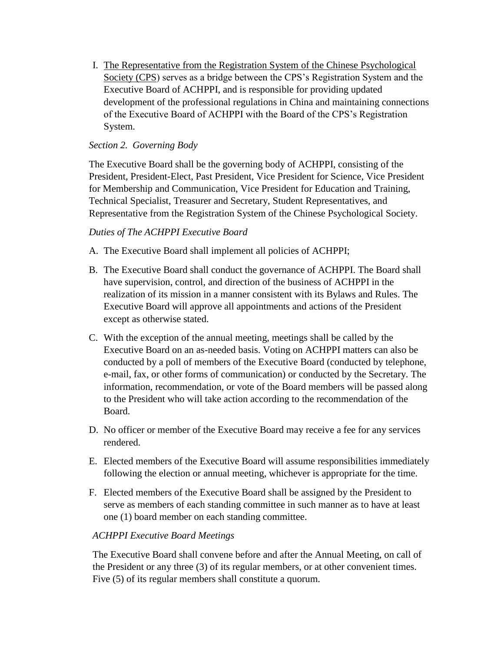I. The Representative from the Registration System of the Chinese Psychological Society (CPS) serves as a bridge between the CPS's Registration System and the Executive Board of ACHPPI, and is responsible for providing updated development of the professional regulations in China and maintaining connections of the Executive Board of ACHPPI with the Board of the CPS's Registration System.

## *Section 2. Governing Body*

The Executive Board shall be the governing body of ACHPPI, consisting of the President, President-Elect, Past President, Vice President for Science, Vice President for Membership and Communication, Vice President for Education and Training, Technical Specialist, Treasurer and Secretary, Student Representatives, and Representative from the Registration System of the Chinese Psychological Society.

## *Duties of The ACHPPI Executive Board*

- A. The Executive Board shall implement all policies of ACHPPI;
- B. The Executive Board shall conduct the governance of ACHPPI. The Board shall have supervision, control, and direction of the business of ACHPPI in the realization of its mission in a manner consistent with its Bylaws and Rules. The Executive Board will approve all appointments and actions of the President except as otherwise stated.
- C. With the exception of the annual meeting, meetings shall be called by the Executive Board on an as-needed basis. Voting on ACHPPI matters can also be conducted by a poll of members of the Executive Board (conducted by telephone, e-mail, fax, or other forms of communication) or conducted by the Secretary. The information, recommendation, or vote of the Board members will be passed along to the President who will take action according to the recommendation of the Board.
- D. No officer or member of the Executive Board may receive a fee for any services rendered.
- E. Elected members of the Executive Board will assume responsibilities immediately following the election or annual meeting, whichever is appropriate for the time.
- F. Elected members of the Executive Board shall be assigned by the President to serve as members of each standing committee in such manner as to have at least one (1) board member on each standing committee.

## *ACHPPI Executive Board Meetings*

The Executive Board shall convene before and after the Annual Meeting, on call of the President or any three (3) of its regular members, or at other convenient times. Five (5) of its regular members shall constitute a quorum.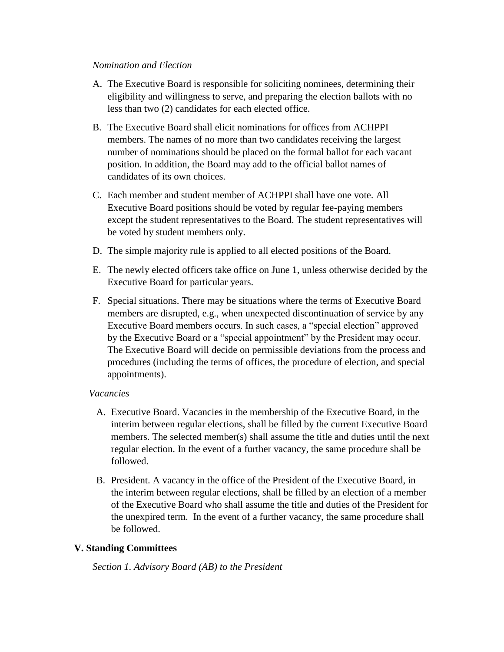#### *Nomination and Election*

- A. The Executive Board is responsible for soliciting nominees, determining their eligibility and willingness to serve, and preparing the election ballots with no less than two (2) candidates for each elected office.
- B. The Executive Board shall elicit nominations for offices from ACHPPI members. The names of no more than two candidates receiving the largest number of nominations should be placed on the formal ballot for each vacant position. In addition, the Board may add to the official ballot names of candidates of its own choices.
- C. Each member and student member of ACHPPI shall have one vote. All Executive Board positions should be voted by regular fee-paying members except the student representatives to the Board. The student representatives will be voted by student members only.
- D. The simple majority rule is applied to all elected positions of the Board.
- E. The newly elected officers take office on June 1, unless otherwise decided by the Executive Board for particular years.
- F. Special situations. There may be situations where the terms of Executive Board members are disrupted, e.g., when unexpected discontinuation of service by any Executive Board members occurs. In such cases, a "special election" approved by the Executive Board or a "special appointment" by the President may occur. The Executive Board will decide on permissible deviations from the process and procedures (including the terms of offices, the procedure of election, and special appointments).

### *Vacancies*

- A. Executive Board. Vacancies in the membership of the Executive Board, in the interim between regular elections, shall be filled by the current Executive Board members. The selected member(s) shall assume the title and duties until the next regular election. In the event of a further vacancy, the same procedure shall be followed.
- B. President. A vacancy in the office of the President of the Executive Board, in the interim between regular elections, shall be filled by an election of a member of the Executive Board who shall assume the title and duties of the President for the unexpired term. In the event of a further vacancy, the same procedure shall be followed.

## **V. Standing Committees**

*Section 1. Advisory Board (AB) to the President*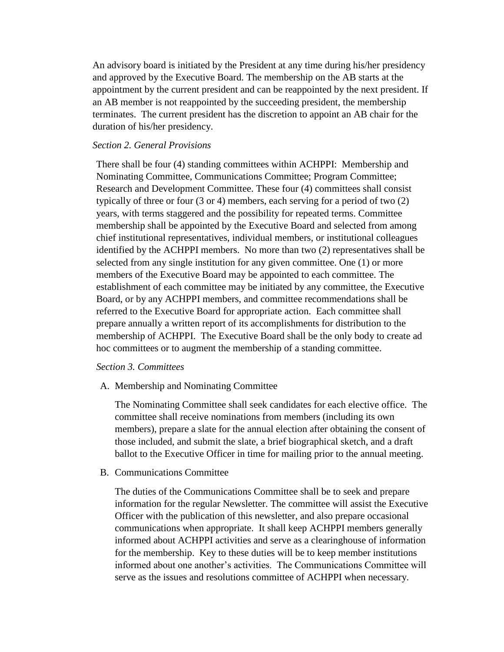An advisory board is initiated by the President at any time during his/her presidency and approved by the Executive Board. The membership on the AB starts at the appointment by the current president and can be reappointed by the next president. If an AB member is not reappointed by the succeeding president, the membership terminates. The current president has the discretion to appoint an AB chair for the duration of his/her presidency.

### *Section 2. General Provisions*

There shall be four (4) standing committees within ACHPPI: Membership and Nominating Committee, Communications Committee; Program Committee; Research and Development Committee. These four (4) committees shall consist typically of three or four (3 or 4) members, each serving for a period of two (2) years, with terms staggered and the possibility for repeated terms. Committee membership shall be appointed by the Executive Board and selected from among chief institutional representatives, individual members, or institutional colleagues identified by the ACHPPI members. No more than two (2) representatives shall be selected from any single institution for any given committee. One (1) or more members of the Executive Board may be appointed to each committee. The establishment of each committee may be initiated by any committee, the Executive Board, or by any ACHPPI members, and committee recommendations shall be referred to the Executive Board for appropriate action. Each committee shall prepare annually a written report of its accomplishments for distribution to the membership of ACHPPI. The Executive Board shall be the only body to create ad hoc committees or to augment the membership of a standing committee.

#### *Section 3. Committees*

A. Membership and Nominating Committee

The Nominating Committee shall seek candidates for each elective office. The committee shall receive nominations from members (including its own members), prepare a slate for the annual election after obtaining the consent of those included, and submit the slate, a brief biographical sketch, and a draft ballot to the Executive Officer in time for mailing prior to the annual meeting.

B. Communications Committee

The duties of the Communications Committee shall be to seek and prepare information for the regular Newsletter. The committee will assist the Executive Officer with the publication of this newsletter, and also prepare occasional communications when appropriate. It shall keep ACHPPI members generally informed about ACHPPI activities and serve as a clearinghouse of information for the membership. Key to these duties will be to keep member institutions informed about one another's activities. The Communications Committee will serve as the issues and resolutions committee of ACHPPI when necessary.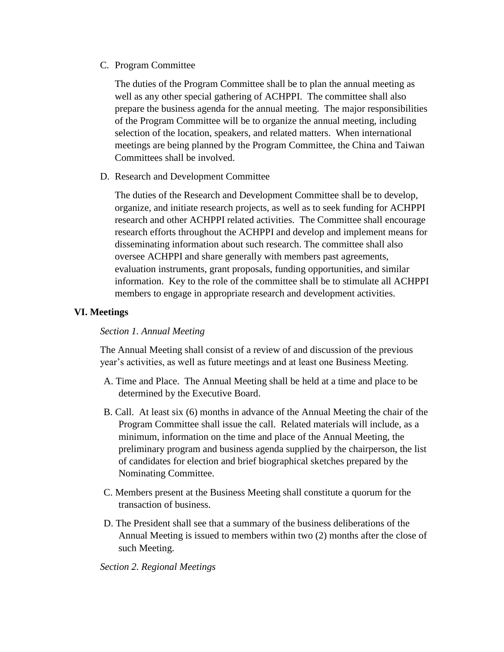C. Program Committee

The duties of the Program Committee shall be to plan the annual meeting as well as any other special gathering of ACHPPI. The committee shall also prepare the business agenda for the annual meeting. The major responsibilities of the Program Committee will be to organize the annual meeting, including selection of the location, speakers, and related matters. When international meetings are being planned by the Program Committee, the China and Taiwan Committees shall be involved.

D. Research and Development Committee

The duties of the Research and Development Committee shall be to develop, organize, and initiate research projects, as well as to seek funding for ACHPPI research and other ACHPPI related activities. The Committee shall encourage research efforts throughout the ACHPPI and develop and implement means for disseminating information about such research. The committee shall also oversee ACHPPI and share generally with members past agreements, evaluation instruments, grant proposals, funding opportunities, and similar information. Key to the role of the committee shall be to stimulate all ACHPPI members to engage in appropriate research and development activities.

## **VI. Meetings**

### *Section 1. Annual Meeting*

The Annual Meeting shall consist of a review of and discussion of the previous year's activities, as well as future meetings and at least one Business Meeting.

- A. Time and Place. The Annual Meeting shall be held at a time and place to be determined by the Executive Board.
- B. Call. At least six (6) months in advance of the Annual Meeting the chair of the Program Committee shall issue the call. Related materials will include, as a minimum, information on the time and place of the Annual Meeting, the preliminary program and business agenda supplied by the chairperson, the list of candidates for election and brief biographical sketches prepared by the Nominating Committee.
- C. Members present at the Business Meeting shall constitute a quorum for the transaction of business.
- D. The President shall see that a summary of the business deliberations of the Annual Meeting is issued to members within two (2) months after the close of such Meeting.

### *Section 2. Regional Meetings*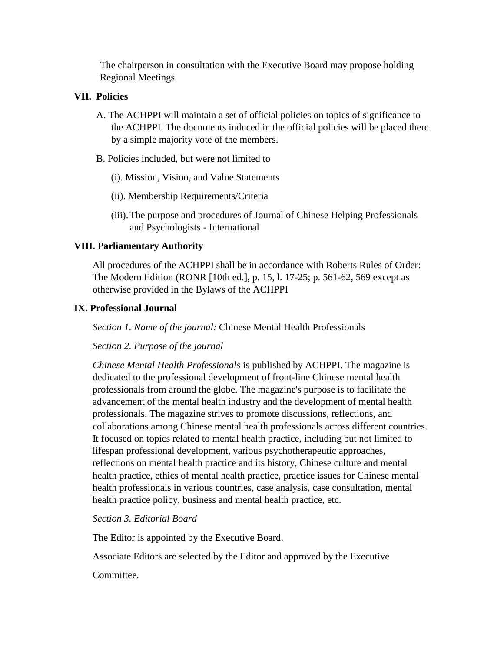The chairperson in consultation with the Executive Board may propose holding Regional Meetings.

## **VII. Policies**

- A. The ACHPPI will maintain a set of official policies on topics of significance to the ACHPPI. The documents induced in the official policies will be placed there by a simple majority vote of the members.
- B. Policies included, but were not limited to
	- (i). Mission, Vision, and Value Statements
	- (ii). Membership Requirements/Criteria
	- (iii).The purpose and procedures of Journal of Chinese Helping Professionals and Psychologists - International

## **VIII. Parliamentary Authority**

All procedures of the ACHPPI shall be in accordance with Roberts Rules of Order: The Modern Edition (RONR [10th ed.], p. 15, l. 17-25; p. 561-62, 569 except as otherwise provided in the Bylaws of the ACHPPI

## **IX. Professional Journal**

*Section 1. Name of the journal:* Chinese Mental Health Professionals

*Section 2. Purpose of the journal*

*Chinese Mental Health Professionals* is published by ACHPPI. The magazine is dedicated to the professional development of front-line Chinese mental health professionals from around the globe. The magazine's purpose is to facilitate the advancement of the mental health industry and the development of mental health professionals. The magazine strives to promote discussions, reflections, and collaborations among Chinese mental health professionals across different countries. It focused on topics related to mental health practice, including but not limited to lifespan professional development, various psychotherapeutic approaches, reflections on mental health practice and its history, Chinese culture and mental health practice, ethics of mental health practice, practice issues for Chinese mental health professionals in various countries, case analysis, case consultation, mental health practice policy, business and mental health practice, etc.

*Section 3. Editorial Board*

The Editor is appointed by the Executive Board.

Associate Editors are selected by the Editor and approved by the Executive

Committee.